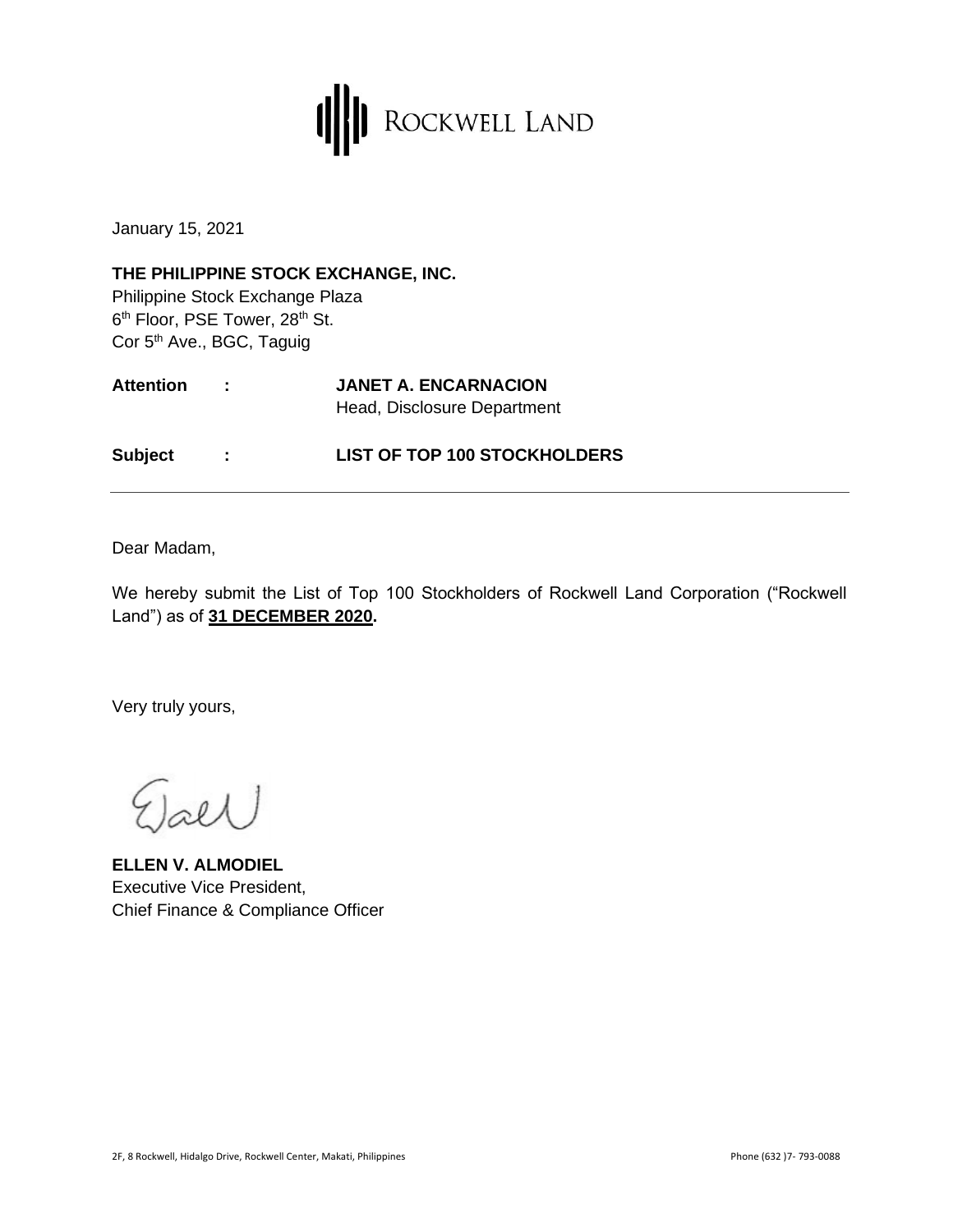

January 15, 2021

**THE PHILIPPINE STOCK EXCHANGE, INC.** Philippine Stock Exchange Plaza 6<sup>th</sup> Floor, PSE Tower, 28<sup>th</sup> St. Cor 5<sup>th</sup> Ave., BGC, Taguig

| <b>Attention</b> | <b>JANET A. ENCARNACION</b> |
|------------------|-----------------------------|
|                  | Head, Disclosure Department |

**Subject : LIST OF TOP 100 STOCKHOLDERS**

Dear Madam,

We hereby submit the List of Top 100 Stockholders of Rockwell Land Corporation ("Rockwell Land") as of **31 DECEMBER 2020.**

Very truly yours,

 $_{\text{label}})$ 

**ELLEN V. ALMODIEL**  Executive Vice President, Chief Finance & Compliance Officer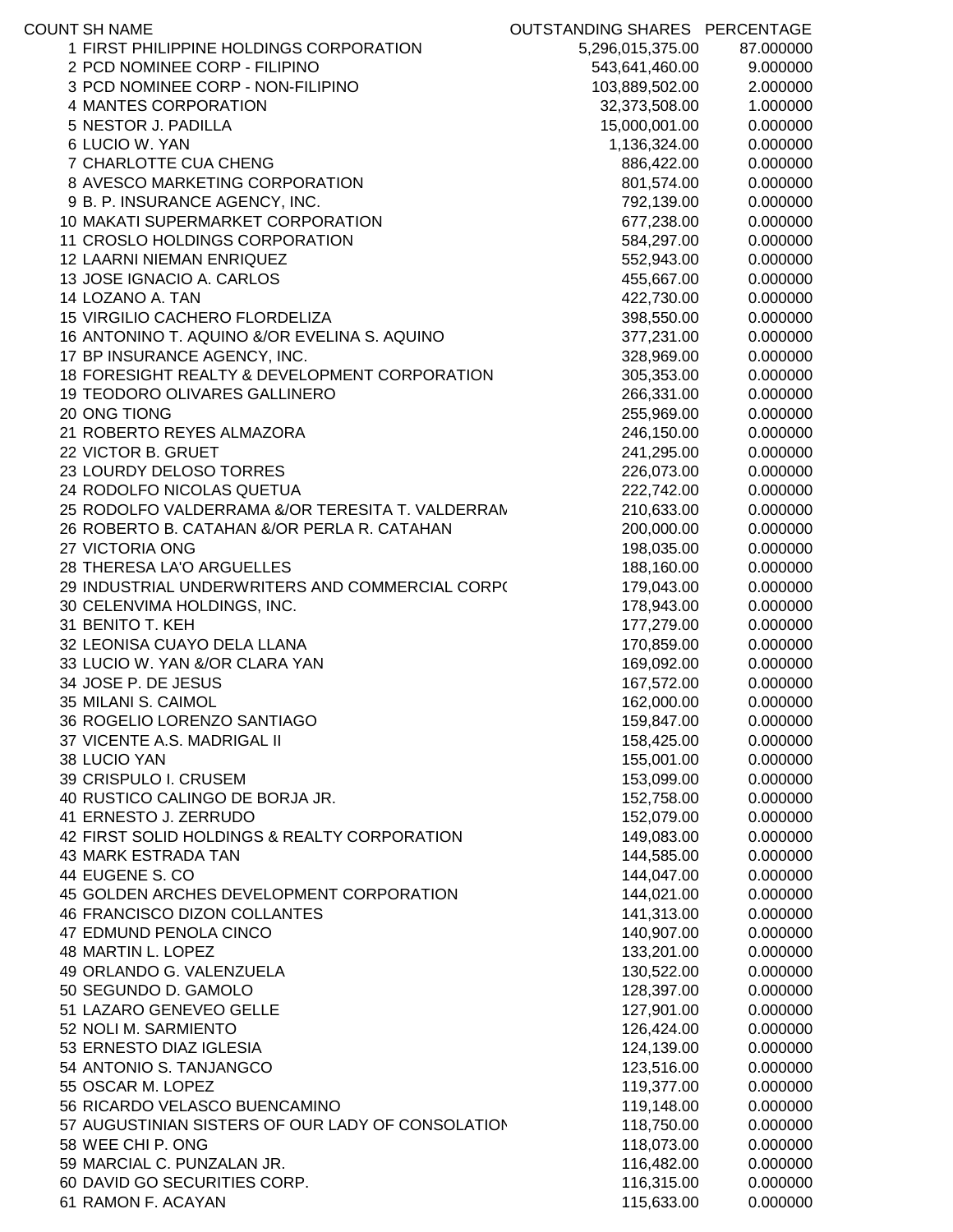| <b>COUNT SH NAME</b>                              | OUTSTANDING SHARES PERCENTAGE |           |
|---------------------------------------------------|-------------------------------|-----------|
| 1 FIRST PHILIPPINE HOLDINGS CORPORATION           | 5,296,015,375.00              | 87.000000 |
| 2 PCD NOMINEE CORP - FILIPINO                     | 543,641,460.00                | 9.000000  |
| 3 PCD NOMINEE CORP - NON-FILIPINO                 | 103,889,502.00                | 2.000000  |
| 4 MANTES CORPORATION                              | 32,373,508.00                 | 1.000000  |
| 5 NESTOR J. PADILLA                               | 15,000,001.00                 | 0.000000  |
| 6 LUCIO W. YAN                                    | 1,136,324.00                  | 0.000000  |
| 7 CHARLOTTE CUA CHENG                             | 886,422.00                    | 0.000000  |
| 8 AVESCO MARKETING CORPORATION                    | 801,574.00                    | 0.000000  |
| 9 B. P. INSURANCE AGENCY, INC.                    | 792,139.00                    | 0.000000  |
| 10 MAKATI SUPERMARKET CORPORATION                 | 677,238.00                    | 0.000000  |
| 11 CROSLO HOLDINGS CORPORATION                    | 584,297.00                    | 0.000000  |
| 12 LAARNI NIEMAN ENRIQUEZ                         | 552,943.00                    | 0.000000  |
| 13 JOSE IGNACIO A. CARLOS                         | 455,667.00                    | 0.000000  |
| 14 LOZANO A. TAN                                  | 422,730.00                    | 0.000000  |
| 15 VIRGILIO CACHERO FLORDELIZA                    | 398,550.00                    | 0.000000  |
| 16 ANTONINO T. AQUINO &/OR EVELINA S. AQUINO      | 377,231.00                    | 0.000000  |
| 17 BP INSURANCE AGENCY, INC.                      | 328,969.00                    | 0.000000  |
| 18 FORESIGHT REALTY & DEVELOPMENT CORPORATION     | 305,353.00                    | 0.000000  |
| 19 TEODORO OLIVARES GALLINERO                     | 266,331.00                    | 0.000000  |
| 20 ONG TIONG                                      | 255,969.00                    | 0.000000  |
| 21 ROBERTO REYES ALMAZORA                         | 246,150.00                    | 0.000000  |
| 22 VICTOR B. GRUET                                | 241,295.00                    | 0.000000  |
| 23 LOURDY DELOSO TORRES                           | 226,073.00                    | 0.000000  |
| 24 RODOLFO NICOLAS QUETUA                         | 222,742.00                    | 0.000000  |
| 25 RODOLFO VALDERRAMA &/OR TERESITA T. VALDERRAN  | 210,633.00                    | 0.000000  |
| 26 ROBERTO B. CATAHAN &/OR PERLA R. CATAHAN       | 200,000.00                    | 0.000000  |
| 27 VICTORIA ONG                                   | 198,035.00                    | 0.000000  |
| 28 THERESA LA'O ARGUELLES                         | 188,160.00                    | 0.000000  |
| 29 INDUSTRIAL UNDERWRITERS AND COMMERCIAL CORP(   | 179,043.00                    | 0.000000  |
| 30 CELENVIMA HOLDINGS, INC.                       | 178,943.00                    | 0.000000  |
| 31 BENITO T. KEH                                  | 177,279.00                    | 0.000000  |
| 32 LEONISA CUAYO DELA LLANA                       | 170,859.00                    | 0.000000  |
| 33 LUCIO W. YAN &/OR CLARA YAN                    | 169,092.00                    | 0.000000  |
| 34 JOSE P. DE JESUS                               | 167,572.00                    | 0.000000  |
| 35 MILANI S. CAIMOL                               | 162,000.00                    | 0.000000  |
| 36 ROGELIO LORENZO SANTIAGO                       | 159,847.00                    | 0.000000  |
| 37 VICENTE A.S. MADRIGAL II                       | 158,425.00                    | 0.000000  |
| 38 LUCIO YAN                                      | 155,001.00                    | 0.000000  |
| 39 CRISPULO I. CRUSEM                             | 153,099.00                    | 0.000000  |
| 40 RUSTICO CALINGO DE BORJA JR.                   | 152,758.00                    | 0.000000  |
| 41 ERNESTO J. ZERRUDO                             | 152,079.00                    | 0.000000  |
| 42 FIRST SOLID HOLDINGS & REALTY CORPORATION      | 149,083.00                    | 0.000000  |
| 43 MARK ESTRADA TAN                               | 144,585.00                    | 0.000000  |
| 44 EUGENE S. CO                                   | 144,047.00                    | 0.000000  |
| 45 GOLDEN ARCHES DEVELOPMENT CORPORATION          | 144,021.00                    | 0.000000  |
| 46 FRANCISCO DIZON COLLANTES                      | 141,313.00                    | 0.000000  |
| 47 EDMUND PENOLA CINCO                            | 140,907.00                    | 0.000000  |
| 48 MARTIN L. LOPEZ                                | 133,201.00                    | 0.000000  |
| 49 ORLANDO G. VALENZUELA                          | 130,522.00                    | 0.000000  |
| 50 SEGUNDO D. GAMOLO                              | 128,397.00                    | 0.000000  |
| 51 LAZARO GENEVEO GELLE                           | 127,901.00                    | 0.000000  |
| 52 NOLI M. SARMIENTO                              | 126,424.00                    | 0.000000  |
| 53 ERNESTO DIAZ IGLESIA                           | 124,139.00                    | 0.000000  |
| 54 ANTONIO S. TANJANGCO                           | 123,516.00                    | 0.000000  |
| 55 OSCAR M. LOPEZ                                 | 119,377.00                    | 0.000000  |
| 56 RICARDO VELASCO BUENCAMINO                     | 119,148.00                    | 0.000000  |
| 57 AUGUSTINIAN SISTERS OF OUR LADY OF CONSOLATION | 118,750.00                    | 0.000000  |
| 58 WEE CHI P. ONG                                 | 118,073.00                    | 0.000000  |
| 59 MARCIAL C. PUNZALAN JR.                        | 116,482.00                    | 0.000000  |
| 60 DAVID GO SECURITIES CORP.                      | 116,315.00                    | 0.000000  |
| 61 RAMON F. ACAYAN                                | 115,633.00                    | 0.000000  |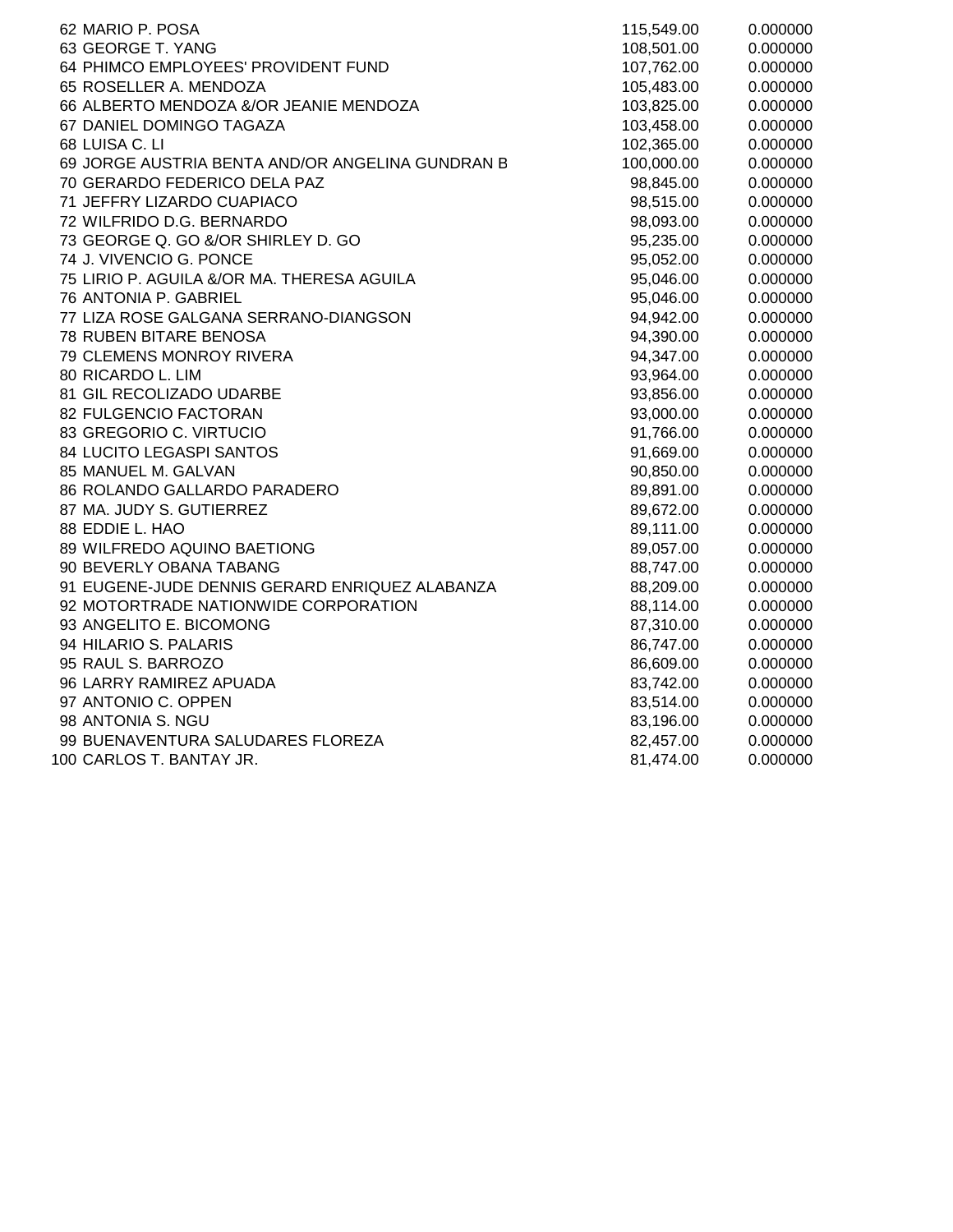| 62 MARIO P. POSA                                 | 115,549.00 | 0.000000 |
|--------------------------------------------------|------------|----------|
| 63 GEORGE T. YANG                                | 108,501.00 | 0.000000 |
| 64 PHIMCO EMPLOYEES' PROVIDENT FUND              | 107,762.00 | 0.000000 |
| 65 ROSELLER A. MENDOZA                           | 105,483.00 | 0.000000 |
| 66 ALBERTO MENDOZA &/OR JEANIE MENDOZA           | 103,825.00 | 0.000000 |
| 67 DANIEL DOMINGO TAGAZA                         | 103,458.00 | 0.000000 |
| 68 LUISA C. LI                                   | 102,365.00 | 0.000000 |
| 69 JORGE AUSTRIA BENTA AND/OR ANGELINA GUNDRAN B | 100,000.00 | 0.000000 |
| 70 GERARDO FEDERICO DELA PAZ                     | 98,845.00  | 0.000000 |
| 71 JEFFRY LIZARDO CUAPIACO                       | 98,515.00  | 0.000000 |
| 72 WILFRIDO D.G. BERNARDO                        | 98,093.00  | 0.000000 |
| 73 GEORGE Q. GO &/OR SHIRLEY D. GO               | 95,235.00  | 0.000000 |
| 74 J. VIVENCIO G. PONCE                          | 95,052.00  | 0.000000 |
| 75 LIRIO P. AGUILA &/OR MA. THERESA AGUILA       | 95,046.00  | 0.000000 |
| 76 ANTONIA P. GABRIEL                            | 95,046.00  | 0.000000 |
| 77 LIZA ROSE GALGANA SERRANO-DIANGSON            | 94,942.00  | 0.000000 |
| 78 RUBEN BITARE BENOSA                           | 94,390.00  | 0.000000 |
| 79 CLEMENS MONROY RIVERA                         | 94,347.00  | 0.000000 |
| 80 RICARDO L. LIM                                | 93,964.00  | 0.000000 |
| 81 GIL RECOLIZADO UDARBE                         | 93,856.00  | 0.000000 |
| 82 FULGENCIO FACTORAN                            | 93,000.00  | 0.000000 |
| 83 GREGORIO C. VIRTUCIO                          | 91,766.00  | 0.000000 |
| 84 LUCITO LEGASPI SANTOS                         | 91,669.00  | 0.000000 |
| 85 MANUEL M. GALVAN                              | 90,850.00  | 0.000000 |
| 86 ROLANDO GALLARDO PARADERO                     | 89,891.00  | 0.000000 |
| 87 MA. JUDY S. GUTIERREZ                         | 89,672.00  | 0.000000 |
| 88 EDDIE L. HAO                                  | 89,111.00  | 0.000000 |
| 89 WILFREDO AQUINO BAETIONG                      | 89,057.00  | 0.000000 |
| 90 BEVERLY OBANA TABANG                          | 88,747.00  | 0.000000 |
| 91 EUGENE-JUDE DENNIS GERARD ENRIQUEZ ALABANZA   | 88,209.00  | 0.000000 |
| 92 MOTORTRADE NATIONWIDE CORPORATION             | 88,114.00  | 0.000000 |
| 93 ANGELITO E. BICOMONG                          | 87,310.00  | 0.000000 |
| 94 HILARIO S. PALARIS                            | 86,747.00  | 0.000000 |
| 95 RAUL S. BARROZO                               | 86,609.00  | 0.000000 |
| 96 LARRY RAMIREZ APUADA                          | 83,742.00  | 0.000000 |
| 97 ANTONIO C. OPPEN                              | 83,514.00  | 0.000000 |
| 98 ANTONIA S. NGU                                | 83,196.00  | 0.000000 |
| 99 BUENAVENTURA SALUDARES FLOREZA                | 82,457.00  | 0.000000 |
| 100 CARLOS T. BANTAY JR.                         | 81,474.00  | 0.000000 |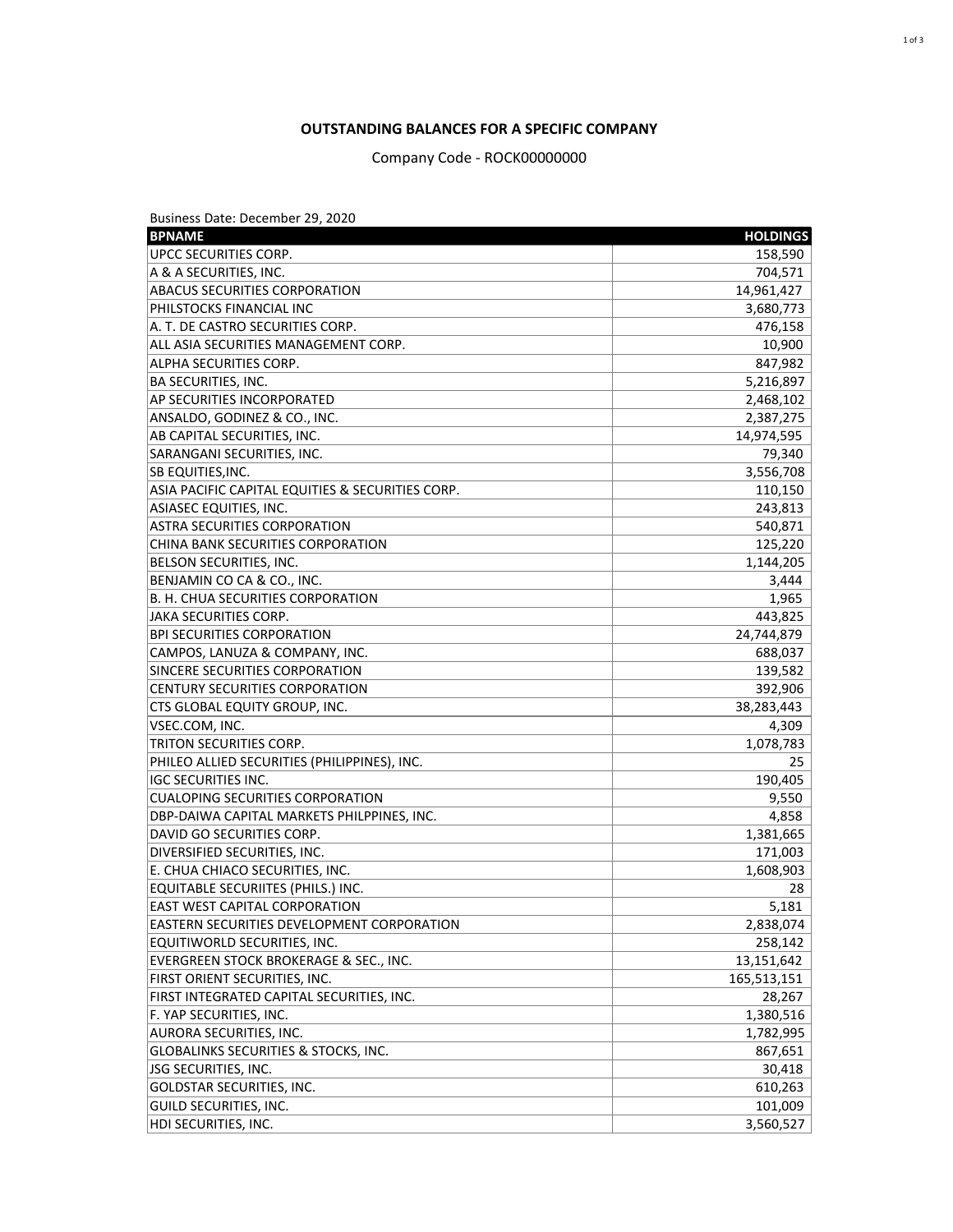Business Date: December 29, 2020

| <b>BPNAME</b>                                    | <b>HOLDINGS</b> |
|--------------------------------------------------|-----------------|
| UPCC SECURITIES CORP.                            | 158,590         |
| A & A SECURITIES, INC.                           | 704,571         |
| <b>ABACUS SECURITIES CORPORATION</b>             | 14,961,427      |
| PHILSTOCKS FINANCIAL INC                         | 3,680,773       |
| A. T. DE CASTRO SECURITIES CORP.                 | 476,158         |
| ALL ASIA SECURITIES MANAGEMENT CORP.             | 10,900          |
| ALPHA SECURITIES CORP.                           | 847,982         |
| <b>BA SECURITIES, INC.</b>                       | 5,216,897       |
| AP SECURITIES INCORPORATED                       | 2,468,102       |
| ANSALDO, GODINEZ & CO., INC.                     | 2,387,275       |
| AB CAPITAL SECURITIES, INC.                      | 14,974,595      |
| SARANGANI SECURITIES, INC.                       | 79,340          |
| SB EQUITIES, INC.                                | 3,556,708       |
| ASIA PACIFIC CAPITAL EQUITIES & SECURITIES CORP. | 110,150         |
| <b>ASIASEC EQUITIES, INC.</b>                    | 243,813         |
| <b>ASTRA SECURITIES CORPORATION</b>              | 540,871         |
| <b>CHINA BANK SECURITIES CORPORATION</b>         | 125,220         |
| BELSON SECURITIES, INC.                          | 1,144,205       |
| BENJAMIN CO CA & CO., INC.                       | 3,444           |
| <b>B. H. CHUA SECURITIES CORPORATION</b>         | 1,965           |
| <b>JAKA SECURITIES CORP.</b>                     | 443,825         |
| <b>BPI SECURITIES CORPORATION</b>                | 24,744,879      |
| CAMPOS, LANUZA & COMPANY, INC.                   | 688,037         |
| SINCERE SECURITIES CORPORATION                   | 139,582         |
| <b>CENTURY SECURITIES CORPORATION</b>            | 392,906         |
| CTS GLOBAL EQUITY GROUP, INC.                    | 38,283,443      |
| VSEC.COM, INC.                                   | 4,309           |
| TRITON SECURITIES CORP.                          | 1,078,783       |
| PHILEO ALLIED SECURITIES (PHILIPPINES), INC.     | 25              |
| <b>IGC SECURITIES INC.</b>                       | 190,405         |
| <b>CUALOPING SECURITIES CORPORATION</b>          | 9,550           |
| DBP-DAIWA CAPITAL MARKETS PHILPPINES, INC.       | 4,858           |
| DAVID GO SECURITIES CORP.                        | 1,381,665       |
| DIVERSIFIED SECURITIES, INC.                     | 171,003         |
| E. CHUA CHIACO SECURITIES, INC.                  | 1,608,903       |
| <b>EQUITABLE SECURIITES (PHILS.) INC.</b>        | 28              |
| <b>EAST WEST CAPITAL CORPORATION</b>             | 5,181           |
| EASTERN SECURITIES DEVELOPMENT CORPORATION       | 2,838,074       |
| EQUITIWORLD SECURITIES, INC.                     | 258,142         |
| EVERGREEN STOCK BROKERAGE & SEC., INC.           | 13,151,642      |
| FIRST ORIENT SECURITIES, INC.                    | 165,513,151     |
| FIRST INTEGRATED CAPITAL SECURITIES, INC.        | 28,267          |
| F. YAP SECURITIES, INC.                          | 1,380,516       |
| AURORA SECURITIES, INC.                          | 1,782,995       |
| <b>GLOBALINKS SECURITIES &amp; STOCKS, INC.</b>  | 867,651         |
| JSG SECURITIES, INC.                             | 30,418          |
| <b>GOLDSTAR SECURITIES, INC.</b>                 | 610,263         |
| <b>GUILD SECURITIES, INC.</b>                    | 101,009         |
| HDI SECURITIES, INC.                             | 3,560,527       |

## **OUTSTANDING BALANCES FOR A SPECIFIC COMPANY**

Company Code - ROCK00000000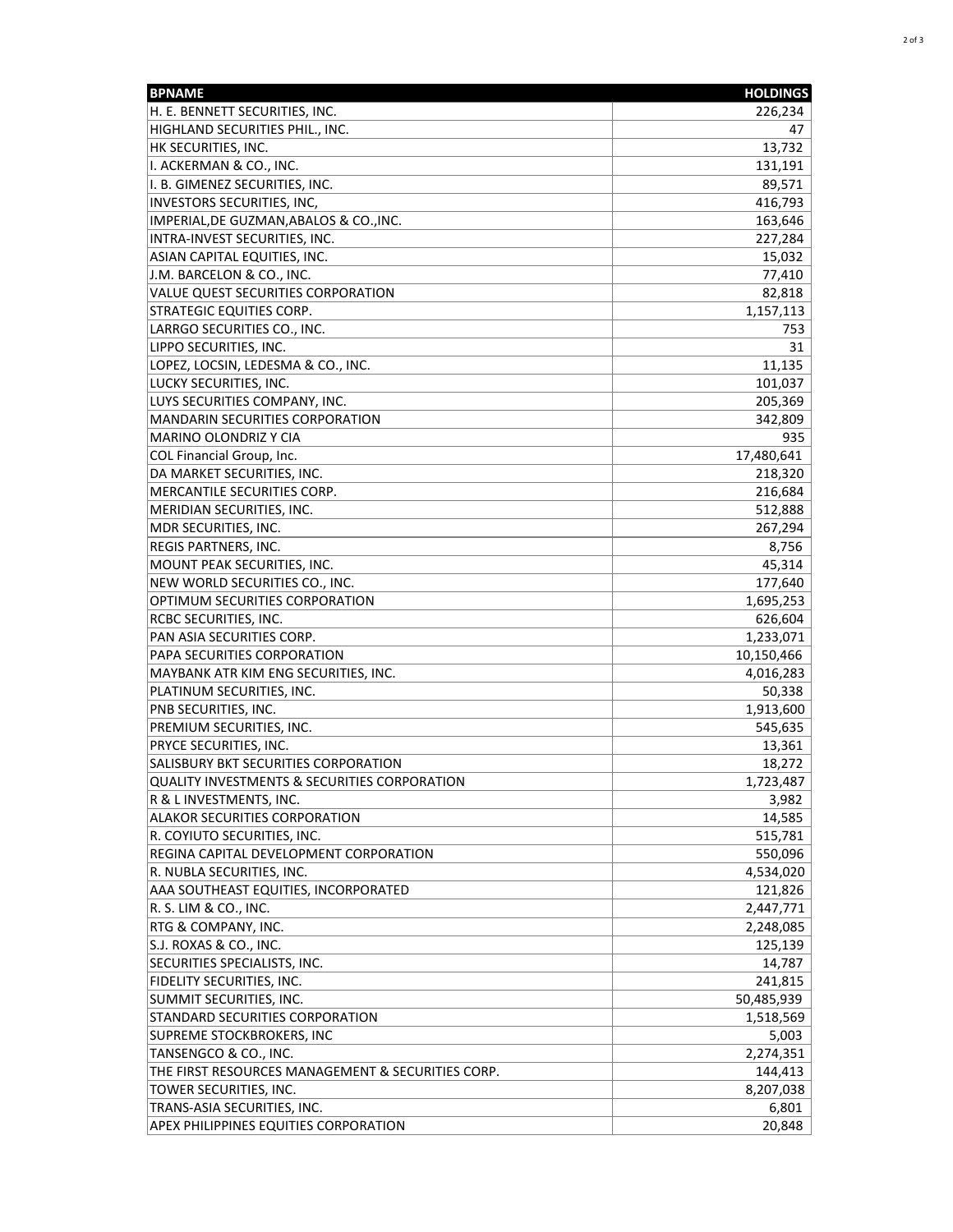| <b>BPNAME</b>                                           | <b>HOLDINGS</b> |
|---------------------------------------------------------|-----------------|
| H. E. BENNETT SECURITIES, INC.                          | 226,234         |
| HIGHLAND SECURITIES PHIL., INC.                         | 47              |
| HK SECURITIES, INC.                                     | 13,732          |
| I. ACKERMAN & CO., INC.                                 | 131,191         |
| I. B. GIMENEZ SECURITIES, INC.                          | 89,571          |
| <b>INVESTORS SECURITIES, INC,</b>                       | 416,793         |
| IMPERIAL, DE GUZMAN, ABALOS & CO., INC.                 | 163,646         |
| INTRA-INVEST SECURITIES, INC.                           | 227,284         |
| <b>ASIAN CAPITAL EQUITIES, INC.</b>                     | 15,032          |
| J.M. BARCELON & CO., INC.                               | 77,410          |
| <b>VALUE QUEST SECURITIES CORPORATION</b>               | 82,818          |
| <b>STRATEGIC EQUITIES CORP.</b>                         | 1,157,113       |
| LARRGO SECURITIES CO., INC.                             | 753             |
| LIPPO SECURITIES, INC.                                  | 31              |
| LOPEZ, LOCSIN, LEDESMA & CO., INC.                      | 11,135          |
| LUCKY SECURITIES, INC.                                  | 101,037         |
| LUYS SECURITIES COMPANY, INC.                           | 205,369         |
| <b>MANDARIN SECURITIES CORPORATION</b>                  | 342,809         |
| MARINO OLONDRIZ Y CIA                                   | 935             |
| <b>COL Financial Group, Inc.</b>                        | 17,480,641      |
| DA MARKET SECURITIES, INC.                              | 218,320         |
| MERCANTILE SECURITIES CORP.                             | 216,684         |
| MERIDIAN SECURITIES, INC.                               | 512,888         |
| MDR SECURITIES, INC.                                    | 267,294         |
| REGIS PARTNERS, INC.                                    | 8,756           |
| MOUNT PEAK SECURITIES, INC.                             | 45,314          |
| NEW WORLD SECURITIES CO., INC.                          | 177,640         |
| OPTIMUM SECURITIES CORPORATION                          | 1,695,253       |
| RCBC SECURITIES, INC.                                   | 626,604         |
| PAN ASIA SECURITIES CORP.                               | 1,233,071       |
| PAPA SECURITIES CORPORATION                             | 10,150,466      |
| MAYBANK ATR KIM ENG SECURITIES, INC.                    | 4,016,283       |
| PLATINUM SECURITIES, INC.                               | 50,338          |
| PNB SECURITIES, INC.                                    | 1,913,600       |
| PREMIUM SECURITIES, INC.                                | 545,635         |
| PRYCE SECURITIES, INC.                                  | 13,361          |
| SALISBURY BKT SECURITIES CORPORATION                    | 18,272          |
| <b>QUALITY INVESTMENTS &amp; SECURITIES CORPORATION</b> | 1,723,487       |
| R & L INVESTMENTS, INC.                                 | 3,982           |
| <b>ALAKOR SECURITIES CORPORATION</b>                    | 14,585          |
| R. COYIUTO SECURITIES, INC.                             | 515,781         |
| REGINA CAPITAL DEVELOPMENT CORPORATION                  | 550,096         |
| R. NUBLA SECURITIES, INC.                               | 4,534,020       |
| AAA SOUTHEAST EQUITIES, INCORPORATED                    | 121,826         |
| R. S. LIM & CO., INC.                                   | 2,447,771       |
| RTG & COMPANY, INC.                                     | 2,248,085       |
| S.J. ROXAS & CO., INC.                                  | 125,139         |
| SECURITIES SPECIALISTS, INC.                            | 14,787          |
| FIDELITY SECURITIES, INC.                               | 241,815         |
| SUMMIT SECURITIES, INC.                                 | 50,485,939      |
| STANDARD SECURITIES CORPORATION                         | 1,518,569       |
| <b>SUPREME STOCKBROKERS, INC</b>                        | 5,003           |
| TANSENGCO & CO., INC.                                   | 2,274,351       |
| THE FIRST RESOURCES MANAGEMENT & SECURITIES CORP.       | 144,413         |
| TOWER SECURITIES, INC.                                  | 8,207,038       |
| TRANS-ASIA SECURITIES, INC.                             | 6,801           |
| <b>APEX PHILIPPINES EQUITIES CORPORATION</b>            | 20,848          |